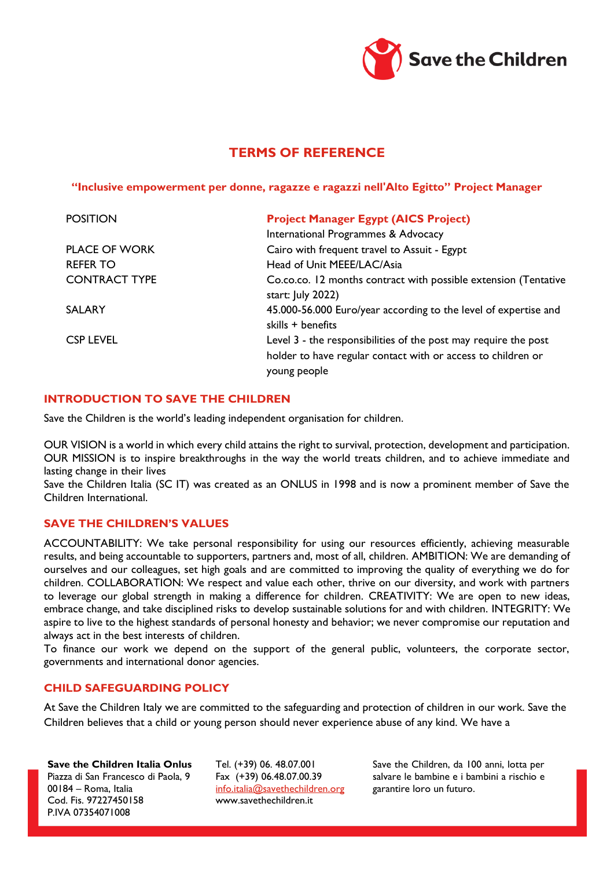

# **TERMS OF REFERENCE**

**"Inclusive empowerment per donne, ragazze e ragazzi nell'Alto Egitto" Project Manager**

| <b>POSITION</b>      | <b>Project Manager Egypt (AICS Project)</b>                                                                                                     |
|----------------------|-------------------------------------------------------------------------------------------------------------------------------------------------|
|                      | International Programmes & Advocacy                                                                                                             |
| <b>PLACE OF WORK</b> | Cairo with frequent travel to Assuit - Egypt                                                                                                    |
| <b>REFER TO</b>      | Head of Unit MEEE/LAC/Asia                                                                                                                      |
| <b>CONTRACT TYPE</b> | Co.co.co. 12 months contract with possible extension (Tentative<br>start: July 2022)                                                            |
| <b>SALARY</b>        | 45.000-56.000 Euro/year according to the level of expertise and<br>skills + benefits                                                            |
| <b>CSP LEVEL</b>     | Level 3 - the responsibilities of the post may require the post<br>holder to have regular contact with or access to children or<br>young people |

#### **INTRODUCTION TO SAVE THE CHILDREN**

Save the Children is the world's leading independent organisation for children.

OUR VISION is a world in which every child attains the right to survival, protection, development and participation. OUR MISSION is to inspire breakthroughs in the way the world treats children, and to achieve immediate and lasting change in their lives

Save the Children Italia (SC IT) was created as an ONLUS in 1998 and is now a prominent member of Save the Children International.

#### **SAVE THE CHILDREN'S VALUES**

ACCOUNTABILITY: We take personal responsibility for using our resources efficiently, achieving measurable results, and being accountable to supporters, partners and, most of all, children. AMBITION: We are demanding of ourselves and our colleagues, set high goals and are committed to improving the quality of everything we do for children. COLLABORATION: We respect and value each other, thrive on our diversity, and work with partners to leverage our global strength in making a difference for children. CREATIVITY: We are open to new ideas, embrace change, and take disciplined risks to develop sustainable solutions for and with children. INTEGRITY: We aspire to live to the highest standards of personal honesty and behavior; we never compromise our reputation and always act in the best interests of children.

To finance our work we depend on the support of the general public, volunteers, the corporate sector, governments and international donor agencies.

#### **CHILD SAFEGUARDING POLICY**

At Save the Children Italy we are committed to the safeguarding and protection of children in our work. Save the Children believes that a child or young person should never experience abuse of any kind. We have a

**Save the Children Italia Onlus** Piazza di San Francesco di Paola, 9 00184 – Roma, Italia Cod. Fis. 97227450158 P.IVA 07354071008

Tel. (+39) 06. 48.07.001 Fax (+39) 06.48.07.00.39 [info.italia@savethechildren.org](mailto:info.italia@savethechildren.org) www.savethechildren.it

Save the Children, da 100 anni, lotta per salvare le bambine e i bambini a rischio e garantire loro un futuro.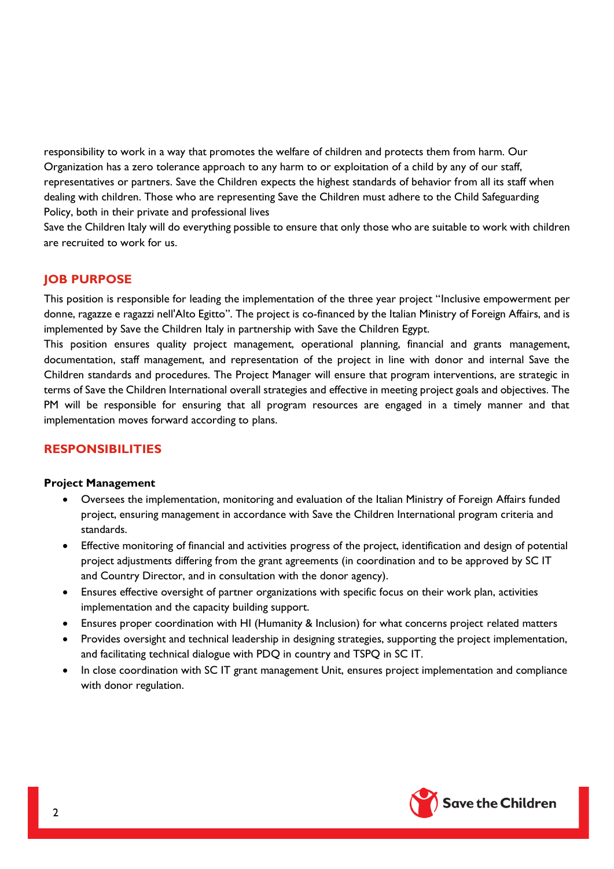responsibility to work in a way that promotes the welfare of children and protects them from harm. Our Organization has a zero tolerance approach to any harm to or exploitation of a child by any of our staff, representatives or partners. Save the Children expects the highest standards of behavior from all its staff when dealing with children. Those who are representing Save the Children must adhere to the Child Safeguarding Policy, both in their private and professional lives

Save the Children Italy will do everything possible to ensure that only those who are suitable to work with children are recruited to work for us.

## **JOB PURPOSE**

This position is responsible for leading the implementation of the three year project "Inclusive empowerment per donne, ragazze e ragazzi nell'Alto Egitto". The project is co-financed by the Italian Ministry of Foreign Affairs, and is implemented by Save the Children Italy in partnership with Save the Children Egypt.

This position ensures quality project management, operational planning, financial and grants management, documentation, staff management, and representation of the project in line with donor and internal Save the Children standards and procedures. The Project Manager will ensure that program interventions, are strategic in terms of Save the Children International overall strategies and effective in meeting project goals and objectives. The PM will be responsible for ensuring that all program resources are engaged in a timely manner and that implementation moves forward according to plans.

## **RESPONSIBILITIES**

#### **Project Management**

- Oversees the implementation, monitoring and evaluation of the Italian Ministry of Foreign Affairs funded project, ensuring management in accordance with Save the Children International program criteria and standards.
- Effective monitoring of financial and activities progress of the project, identification and design of potential project adjustments differing from the grant agreements (in coordination and to be approved by SC IT and Country Director, and in consultation with the donor agency).
- Ensures effective oversight of partner organizations with specific focus on their work plan, activities implementation and the capacity building support.
- Ensures proper coordination with HI (Humanity & Inclusion) for what concerns project related matters
- Provides oversight and technical leadership in designing strategies, supporting the project implementation, and facilitating technical dialogue with PDQ in country and TSPQ in SC IT.
- In close coordination with SC IT grant management Unit, ensures project implementation and compliance with donor regulation.

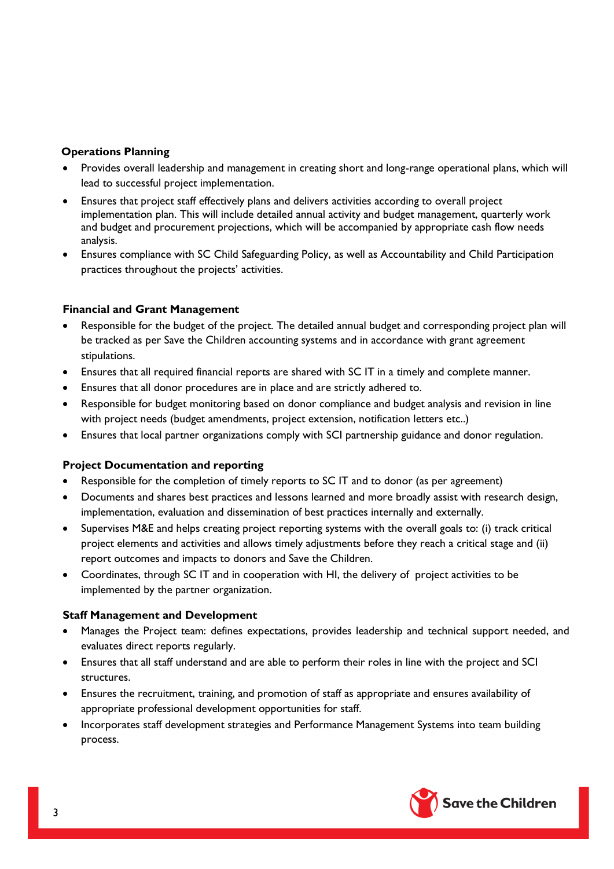## **Operations Planning**

- Provides overall leadership and management in creating short and long-range operational plans, which will lead to successful project implementation.
- Ensures that project staff effectively plans and delivers activities according to overall project implementation plan. This will include detailed annual activity and budget management, quarterly work and budget and procurement projections, which will be accompanied by appropriate cash flow needs analysis.
- Ensures compliance with SC Child Safeguarding Policy, as well as Accountability and Child Participation practices throughout the projects' activities.

## **Financial and Grant Management**

- Responsible for the budget of the project. The detailed annual budget and corresponding project plan will be tracked as per Save the Children accounting systems and in accordance with grant agreement stipulations.
- Ensures that all required financial reports are shared with SC IT in a timely and complete manner.
- Ensures that all donor procedures are in place and are strictly adhered to.
- Responsible for budget monitoring based on donor compliance and budget analysis and revision in line with project needs (budget amendments, project extension, notification letters etc..)
- Ensures that local partner organizations comply with SCI partnership guidance and donor regulation.

## **Project Documentation and reporting**

- Responsible for the completion of timely reports to SC IT and to donor (as per agreement)
- Documents and shares best practices and lessons learned and more broadly assist with research design, implementation, evaluation and dissemination of best practices internally and externally.
- Supervises M&E and helps creating project reporting systems with the overall goals to: (i) track critical project elements and activities and allows timely adjustments before they reach a critical stage and (ii) report outcomes and impacts to donors and Save the Children.
- Coordinates, through SC IT and in cooperation with HI, the delivery of project activities to be implemented by the partner organization.

#### **Staff Management and Development**

- Manages the Project team: defines expectations, provides leadership and technical support needed, and evaluates direct reports regularly.
- Ensures that all staff understand and are able to perform their roles in line with the project and SCI structures.
- Ensures the recruitment, training, and promotion of staff as appropriate and ensures availability of appropriate professional development opportunities for staff.
- Incorporates staff development strategies and Performance Management Systems into team building process.

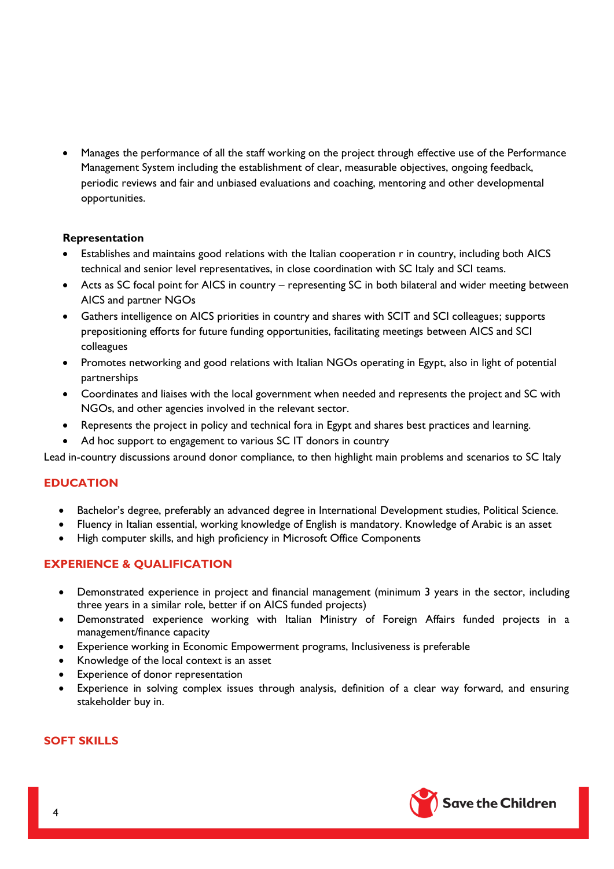Manages the performance of all the staff working on the project through effective use of the Performance Management System including the establishment of clear, measurable objectives, ongoing feedback, periodic reviews and fair and unbiased evaluations and coaching, mentoring and other developmental opportunities.

#### **Representation**

- Establishes and maintains good relations with the Italian cooperation r in country, including both AICS technical and senior level representatives, in close coordination with SC Italy and SCI teams.
- Acts as SC focal point for AICS in country representing SC in both bilateral and wider meeting between AICS and partner NGOs
- Gathers intelligence on AICS priorities in country and shares with SCIT and SCI colleagues; supports prepositioning efforts for future funding opportunities, facilitating meetings between AICS and SCI colleagues
- Promotes networking and good relations with Italian NGOs operating in Egypt, also in light of potential partnerships
- Coordinates and liaises with the local government when needed and represents the project and SC with NGOs, and other agencies involved in the relevant sector.
- Represents the project in policy and technical fora in Egypt and shares best practices and learning.
- Ad hoc support to engagement to various SC IT donors in country

Lead in-country discussions around donor compliance, to then highlight main problems and scenarios to SC Italy

## **EDUCATION**

- Bachelor's degree, preferably an advanced degree in International Development studies, Political Science.
- Fluency in Italian essential, working knowledge of English is mandatory. Knowledge of Arabic is an asset
- High computer skills, and high proficiency in Microsoft Office Components

## **EXPERIENCE & QUALIFICATION**

- Demonstrated experience in project and financial management (minimum 3 years in the sector, including three years in a similar role, better if on AICS funded projects)
- Demonstrated experience working with Italian Ministry of Foreign Affairs funded projects in a management/finance capacity
- Experience working in Economic Empowerment programs, Inclusiveness is preferable
- Knowledge of the local context is an asset
- Experience of donor representation
- Experience in solving complex issues through analysis, definition of a clear way forward, and ensuring stakeholder buy in.

## **SOFT SKILLS**